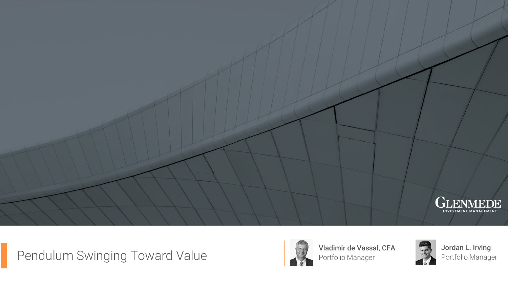

# Pendulum Swinging Toward Value Value Vassal, CFA



Portfolio Manager



Jordan L. Irving Portfolio Manager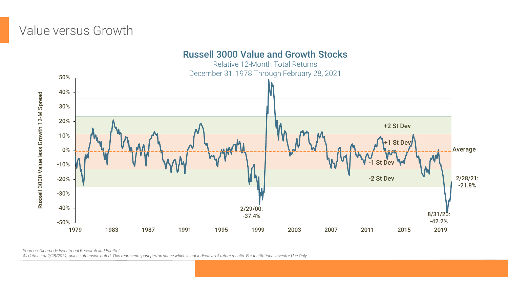# Value versus Growth



*Sources: Glenmede Investment Research and FactSet*

*All data as of 2/28/2021, unless otherwise noted. This represents past performance which is not indicative of future results. For Institutional Investor Use Only.*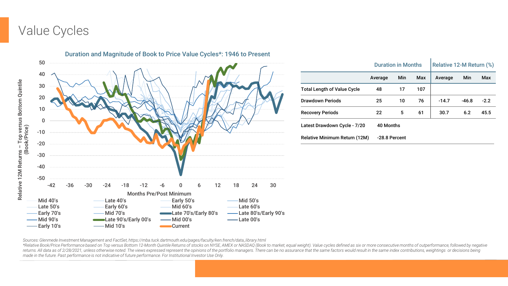# Value Cycles



|                                      | <b>Duration in Months</b> |               |     | Relative 12-M Return (%) |         |        |  |
|--------------------------------------|---------------------------|---------------|-----|--------------------------|---------|--------|--|
|                                      | Average                   | Min           | Max | Average                  | Min     | Max    |  |
| <b>Total Length of Value Cycle</b>   | 48                        | 17            | 107 |                          |         |        |  |
| Drawdown Periods                     | 25                        | 10            | 76  | $-14.7$                  | $-46.8$ | $-2.2$ |  |
| <b>Recovery Periods</b>              | 22                        | 5             | 61  | 30.7                     | 6.2     | 45.5   |  |
| Latest Drawdown Cycle - 7/20         |                           | 40 Months     |     |                          |         |        |  |
| <b>Relative Minimum Return (12M)</b> |                           | -28.8 Percent |     |                          |         |        |  |

*Sources: Glenmede Investment Management and FactSet, https://mba.tuck.dartmouth.edu/pages/faculty/ken.french/data\_library.html*

\*Relative Book/Price Performance based on Top versus Bottom 12-Month Quintile Returns of stocks on NYSE, AMEX or NASDAQ (Book to market, equal weight). Value cycles defined as six or more consecutive months of outperforman returns. All data as of 2/28/2021, unless otherwise noted. The views expressed represent the opinions of the portfolio managers. There can be no assurance that the same factors would result in the same index contributions, *made in the future. Past performance is not indicative of future performance. For Institutional Investor Use Only.*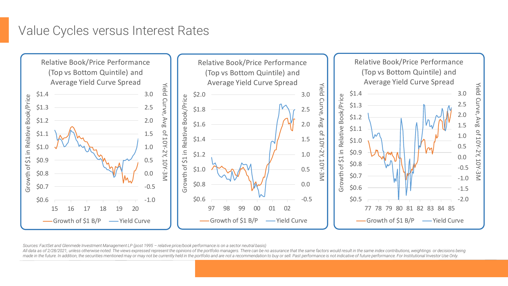# Value Cycles versus Interest Rates



*Sources: FactSet and Glenmede Investment Management LP (post 1995 – relative price/book performance is on a sector neutral basis)*

All data as of 2/28/2021, unless otherwise noted. The views expressed represent the opinions of the portfolio managers. There can be no assurance that the same factors would result in the same index contributions, weightin made in the future. In addition, the securities mentioned may or may not be currently held in the portfolio and are not a recommendation to buy or sell. Past performance is not indicative of future performance. For Institu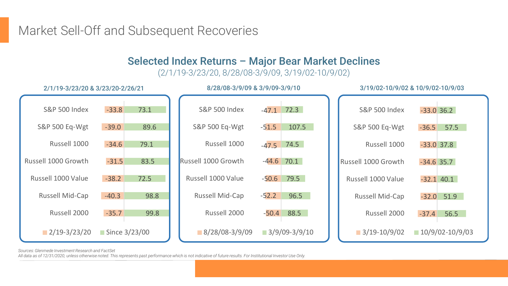Market Sell-Off and Subsequent Recoveries

#### Selected Index Returns – Major Bear Market Declines

(2/1/19-3/23/20, 8/28/08-3/9/09, 3/19/02-10/9/02)



*Sources: Glenmede Investment Research and FactSet*

*All data as of 12/31/2020, unless otherwise noted. This represents past performance which is not indicative of future results. For Institutional Investor Use Only.*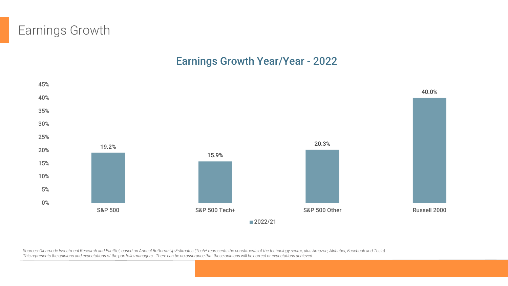# Earnings Growth

#### Earnings Growth Year/Year - 2022



*Sources: Glenmede Investment Research and FactSet, based on Annual Bottoms-Up Estimates (Tech+ represents the constituents of the technology sector, plus Amazon, Alphabet, Facebook and Tesla) This represents the opinions and expectations of the portfolio managers. There can be no assurance that these opinions will be correct or expectations achieved.*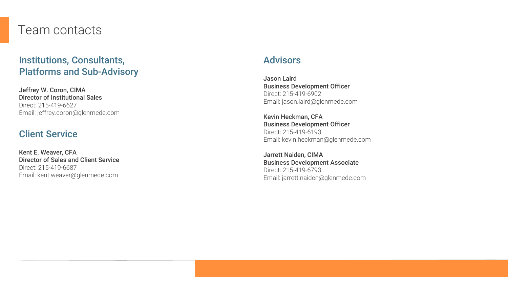#### Team contacts

#### Institutions, Consultants, Platforms and Sub -Advisory

Jeffrey W. Coron, CIMA Director of Institutional Sales Direct: 215 -419 -6627 Email: jeffrey.coron@glenmede.com

#### Client Service

Kent E. Weaver, CFA Director of Sales and Client Service Direct: 215 -419 -6687 Email: kent.weaver@glenmede.com

#### **Advisors**

Jason Laird Business Development Officer Direct: 215 -419 -6902 Email: jason.laird@glenmede.com

Kevin Heckman, CFA Business Development Officer Direct: 215-419-6193 Email: kevin.heckman@glenmede.com

Jarrett Naiden, CIMA Business Development Associate Direct: 215 -419 -6793 Email: jarrett.naiden@glenmede.com